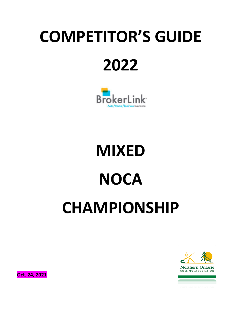## **COMPETITOR'S GUIDE 2022**



# **MIXED NOCA CHAMPIONSHIP**



**Oct. 24, 2021**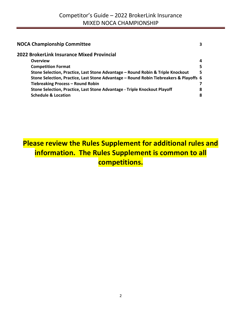| <b>NOCA Championship Committee</b><br>3                                                |
|----------------------------------------------------------------------------------------|
| 2022 BrokerLink Insurance Mixed Provincial                                             |
| <b>Overview</b><br>4                                                                   |
| <b>Competition Format</b><br>5                                                         |
| Stone Selection, Practice, Last Stone Advantage - Round Robin & Triple Knockout<br>5   |
| Stone Selection, Practice, Last Stone Advantage - Round Robin Tiebreakers & Playoffs 6 |
| Tiebreaking Process - Round Robin                                                      |
| Stone Selection, Practice, Last Stone Advantage - Triple Knockout Playoff<br>8         |
| <b>Schedule &amp; Location</b><br>8                                                    |

## **Please review the Rules Supplement for additional rules and information. The Rules Supplement is common to all competitions.**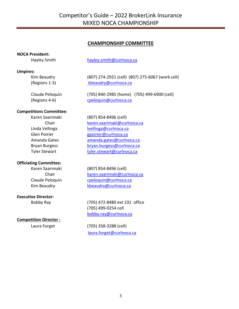#### **CHAMPIONSHIP COMMITTEE**

#### **NOCA President:**

Hayley Smith hayley.smith@curlnoca.ca

#### **Umpires:**

Kim Beaudry (807) 274-2921 (cell) (807) 275-6067 (work cell) (Regions 1-3) kbeaudry@curlnoca.ca

Claude Peloquin (705) 840-2985 (home) (705) 499-6900 (cell) (Regions 4-6) cpeloquin@curlnoca.ca

#### **Competitions Committee:**

Karen Saarimaki (807) 854-8496 (cell) Chair karen.saarimaki@curlnoca.ca Linda Vellinga lvellinga@curlnoca.ca

#### **Officiating Committee:**

#### **Executive Director:**

#### **Competition Director :**

Glen Poirier entering the george group of the george group of the george of the george group of the george group of the george group of the george group of the george group of the george group of the george group of the ge Amanda Gates amanda.gates@curlnoca.ca Bryan Burgess bryan.burgess@curlnoca.ca Tyler Stewart tyler.stewart@curlnoca.ca

Karen Saarimaki (807) 854-8496 (cell) Chair karen.saarimaki@curlnoca.ca Claude Peloquin cpeloquin@curlnoca.ca Kim Beaudry **Kheaudry@curlnoca.ca** 

Bobby Ray (705) 472-8480 ext 231 office (705) 499-0254 cell bobby.ray@curlnoca.ca

Laura Forget (705) 358-3288 (cell) laura.forget@curlnoca.ca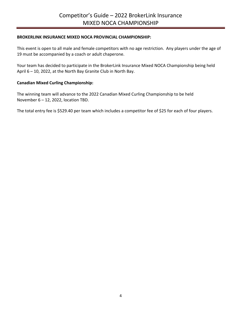#### **BROKERLINK INSURANCE MIXED NOCA PROVINCIAL CHAMPIONSHIP:**

This event is open to all male and female competitors with no age restriction. Any players under the age of 19 must be accompanied by a coach or adult chaperone.

Your team has decided to participate in the BrokerLink Insurance Mixed NOCA Championship being held April 6 – 10, 2022, at the North Bay Granite Club in North Bay.

#### **Canadian Mixed Curling Championship:**

The winning team will advance to the 2022 Canadian Mixed Curling Championship to be held November 6 – 12, 2022, location TBD.

The total entry fee is \$529.40 per team which includes a competitor fee of \$25 for each of four players.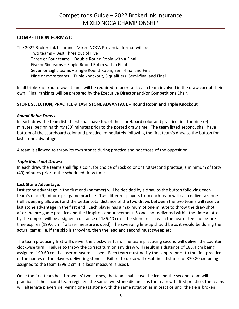#### **COMPETITION FORMAT:**

The 2022 BrokerLink Insurance Mixed NOCA Provincial format will be:

Two teams – Best Three out of Five Three or Four teams – Double Round Robin with a Final Five or Six teams – Single Round Robin with a Final Seven or Eight teams – Single Round Robin, Semi-final and Final Nine or more teams – Triple knockout, 3 qualifiers, Semi-final and Final

In all triple knockout draws, teams will be required to peer rank each team involved in the draw except their own. Final rankings will be prepared by the Executive Director and/or Competitions Chair.

#### **STONE SELECTION, PRACTICE & LAST STONE ADVANTAGE – Round Robin and Triple Knockout**

#### *Round Robin Draws:*

In each draw the team listed first shall have top of the scoreboard color and practice first for nine (9) minutes, beginning thirty (30) minutes prior to the posted draw time. The team listed second, shall have bottom of the scoreboard color and practice immediately following the first team's draw to the button for last stone advantage.

A team is allowed to throw its own stones during practice and not those of the opposition.

#### *Triple Knockout Draws:*

In each draw the teams shall flip a coin, for choice of rock color or first/second practice, a minimum of forty (40) minutes prior to the scheduled draw time.

#### **Last Stone Advantage**:

Last stone advantage in the first end (hammer) will be decided by a draw to the button following each team's nine (9) minute pre-game practice. Two different players from each team will each deliver a stone (full sweeping allowed) and the better total distance of the two draws between the two teams will receive last stone advantage in the first end. Each player has a maximum of one minute to throw the draw shot after the pre-game practice and the Umpire's announcement. Stones not delivered within the time allotted by the umpire will be assigned a distance of 185.40 cm - the stone must reach the nearer tee line before time expires (199.6 cm if a laser measure is used). The sweeping line-up should be as it would be during the actual game; i.e. if the skip is throwing, then the lead and second must sweep etc.

The team practicing first will deliver the clockwise turn. The team practicing second will deliver the counter clockwise turn. Failure to throw the correct turn on any draw will result in a distance of 185.4 cm being assigned (199.60 cm if a laser measure is used). Each team must notify the Umpire prior to the first practice of the names of the players delivering stones. Failure to do so will result in a distance of 370.80 cm being assigned to the team (399.2 cm if a laser measure is used).

Once the first team has thrown its' two stones, the team shall leave the ice and the second team will practice. If the second team registers the same two-stone distance as the team with first practice, the teams will alternate players delivering one (1) stone with the same rotation as in practice until the tie is broken.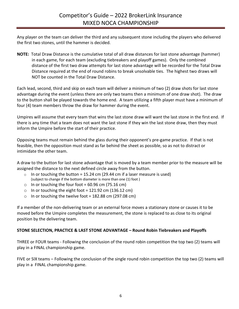Any player on the team can deliver the third and any subsequent stone including the players who delivered the first two stones, until the hammer is decided.

**NOTE:** Total Draw Distance is the cumulative total of all draw distances for last stone advantage (hammer) in each game, for each team (excluding tiebreakers and playoff games). Only the combined distance of the first two draw attempts for last stone advantage will be recorded for the Total Draw Distance required at the end of round robins to break unsolvable ties. The highest two draws will NOT be counted in the Total Draw Distance.

Each lead, second, third and skip on each team will deliver a minimum of two (2) draw shots for last stone advantage during the event (unless there are only two teams then a minimum of one draw shot). The draw to the button shall be played towards the home end. A team utilizing a fifth player must have a minimum of four (4) team members throw the draw for hammer during the event.

Umpires will assume that every team that wins the last stone draw will want the last stone in the first end. If there is any time that a team does not want the last stone if they win the last stone draw, then they must inform the Umpire before the start of their practice.

Opposing teams must remain behind the glass during their opponent's pre-game practice. If that is not feasible, then the opposition must stand as far behind the sheet as possible, so as not to distract or intimidate the other team.

A draw to the button for last stone advantage that is moved by a team member prior to the measure will be assigned the distance to the next defined circle away from the button.

- $\circ$  In or touching the button = 15.24 cm (29.44 cm if a laser measure is used) (subject to change if the bottom diameter is more than one (1) foot )
- o In or touching the four foot =  $60.96$  cm (75.16 cm)
- o In or touching the eight foot = 121.92 cm (136.12 cm)
- o In or touching the twelve foot =  $182.88$  cm (297.08 cm)

If a member of the non-delivering team or an external force moves a stationary stone or causes it to be moved before the Umpire completes the measurement, the stone is replaced to as close to its original position by the delivering team.

#### **STONE SELECTION, PRACTICE & LAST STONE ADVANTAGE – Round Robin Tiebreakers and Playoffs**

THREE or FOUR teams - Following the conclusion of the round robin competition the top two (2) teams will play in a FINAL championship game.

FIVE or SIX teams – Following the conclusion of the single round robin competition the top two (2) teams will play in a FINAL championship game.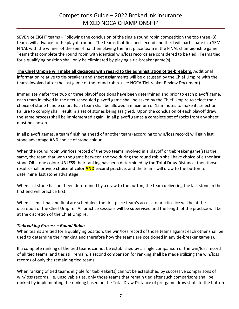SEVEN or EIGHT teams – Following the conclusion of the single round robin competition the top three (3) teams will advance to the playoff round. The teams that finished second and third will participate in a SEMI-FINAL with the winner of the semi-final then playing the first place team in the FINAL championship game. Teams that complete the round robin with identical win/loss records are considered to be tied. Teams tied for a qualifying position shall only be eliminated by playing a tie-breaker game(s).

**The Chief Umpire will make all decisions with regard to the administration of tie-breakers.** Additional information relative to tie-breakers and sheet assignments will be discussed by the Chief Umpire with the teams involved after the last game of the round robin. (see NOCA Tiebreaker Review Document)

Immediately after the two or three playoff positions have been determined and prior to each playoff game, each team involved in the next scheduled playoff game shall be asked by the Chief Umpire to select their choice of stone handle color. Each team shall be allowed a maximum of 15 minutes to make its selection. Failure to comply shall result in a set of stones being assigned. Upon the conclusion of each playoff draw, the same process shall be implemented again. In all playoff games a complete set of rocks from any sheet must be chosen.

In all playoff games, a team finishing ahead of another team (according to win/loss record) will gain last stone advantage **AND** choice of stone colour.

When the round robin win/loss record of the two teams involved in a playoff or tiebreaker game(s) is the same, the team that won the game between the two during the round robin shall have choice of either last stone **OR** stone colour **UNLESS** their ranking has been determined by the Total Draw Distance, then those results shall provide **choice of color AND second practice**, and the teams will draw to the button to determine last stone advantage.

When last stone has not been determined by a draw to the button, the team delivering the last stone in the first end will practice first.

When a semi-final and final are scheduled, the first place team's access to practice ice will be at the discretion of the Chief Umpire. All practice sessions will be supervised and the length of the practice will be at the discretion of the Chief Umpire.

#### *Tiebreaking Process – Round Robin*

When teams are tied for a qualifying position, the win/loss record of those teams against each other shall be used to determine their ranking and therefore how the teams are positioned in any tie-breaker game(s).

If a complete ranking of the tied teams cannot be established by a single comparison of the win/loss record of all tied teams, and ties still remain, a second comparison for ranking shall be made utilizing the win/loss records of only the remaining tied teams.

When ranking of tied teams eligible for tiebreaker(s) cannot be established by successive comparisons of win/loss records, i.e. unsolvable ties, only those teams that remain tied after such comparisons shall be ranked by implementing the ranking based on the Total Draw Distance of pre-game draw shots to the button